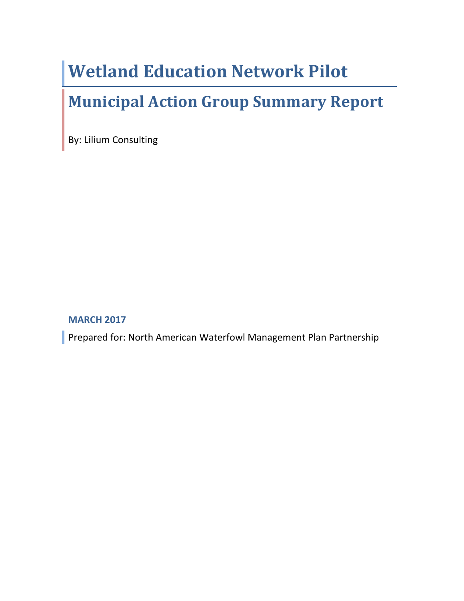# **Wetland Education Network Pilot**

## **Municipal Action Group Summary Report**

By: Lilium Consulting

#### **MARCH 2017**

Prepared for: North American Waterfowl Management Plan Partnership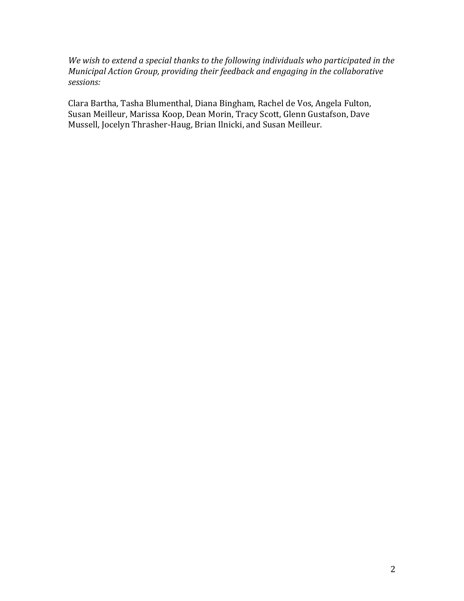We wish to extend a special thanks to the following individuals who participated in the *Municipal Action Group, providing their feedback and engaging in the collaborative sessions:*

Clara Bartha, Tasha Blumenthal, Diana Bingham, Rachel de Vos, Angela Fulton, Susan Meilleur, Marissa Koop, Dean Morin, Tracy Scott, Glenn Gustafson, Dave Mussell, Jocelyn Thrasher-Haug, Brian Ilnicki, and Susan Meilleur.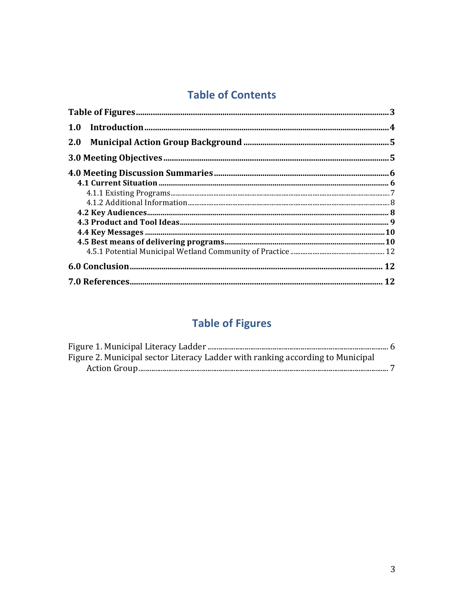## **Table of Contents**

| <b>2.0</b> |  |
|------------|--|
|            |  |
|            |  |
|            |  |
|            |  |
|            |  |
|            |  |
|            |  |
|            |  |
|            |  |
|            |  |
|            |  |
|            |  |

## **Table of Figures**

| Figure 2. Municipal sector Literacy Ladder with ranking according to Municipal |  |
|--------------------------------------------------------------------------------|--|
|                                                                                |  |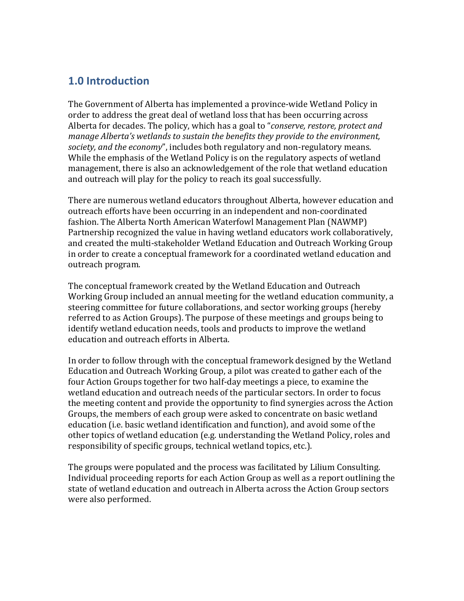## **1.0 Introduction**

The Government of Alberta has implemented a province-wide Wetland Policy in order to address the great deal of wetland loss that has been occurring across Alberta for decades. The policy, which has a goal to "*conserve, restore, protect and manage Alberta's* wetlands to sustain the benefits they provide to the environment, *society, and the economy*", includes both regulatory and non-regulatory means. While the emphasis of the Wetland Policy is on the regulatory aspects of wetland management, there is also an acknowledgement of the role that wetland education and outreach will play for the policy to reach its goal successfully.

There are numerous wetland educators throughout Alberta, however education and outreach efforts have been occurring in an independent and non-coordinated fashion. The Alberta North American Waterfowl Management Plan (NAWMP) Partnership recognized the value in having wetland educators work collaboratively, and created the multi-stakeholder Wetland Education and Outreach Working Group in order to create a conceptual framework for a coordinated wetland education and outreach program.

The conceptual framework created by the Wetland Education and Outreach Working Group included an annual meeting for the wetland education community, a steering committee for future collaborations, and sector working groups (hereby referred to as Action Groups). The purpose of these meetings and groups being to identify wetland education needs, tools and products to improve the wetland education and outreach efforts in Alberta.

In order to follow through with the conceptual framework designed by the Wetland Education and Outreach Working Group, a pilot was created to gather each of the four Action Groups together for two half-day meetings a piece, to examine the wetland education and outreach needs of the particular sectors. In order to focus the meeting content and provide the opportunity to find synergies across the Action Groups, the members of each group were asked to concentrate on basic wetland education (i.e. basic wetland identification and function), and avoid some of the other topics of wetland education (e.g. understanding the Wetland Policy, roles and responsibility of specific groups, technical wetland topics, etc.).

The groups were populated and the process was facilitated by Lilium Consulting. Individual proceeding reports for each Action Group as well as a report outlining the state of wetland education and outreach in Alberta across the Action Group sectors were also performed.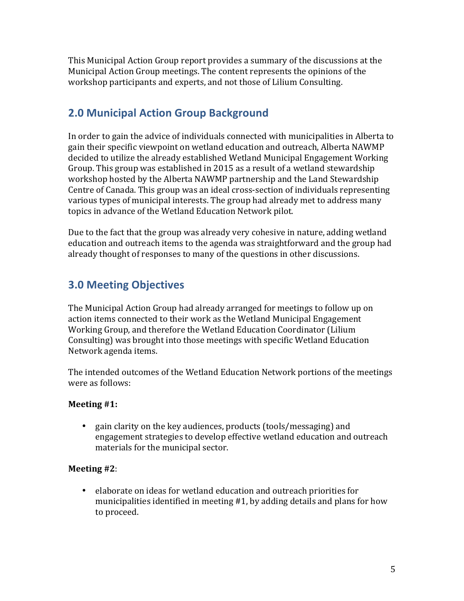This Municipal Action Group report provides a summary of the discussions at the Municipal Action Group meetings. The content represents the opinions of the workshop participants and experts, and not those of Lilium Consulting.

## **2.0 Municipal Action Group Background**

In order to gain the advice of individuals connected with municipalities in Alberta to gain their specific viewpoint on wetland education and outreach, Alberta NAWMP decided to utilize the already established Wetland Municipal Engagement Working Group. This group was established in 2015 as a result of a wetland stewardship workshop hosted by the Alberta NAWMP partnership and the Land Stewardship Centre of Canada. This group was an ideal cross-section of individuals representing various types of municipal interests. The group had already met to address many topics in advance of the Wetland Education Network pilot.

Due to the fact that the group was already very cohesive in nature, adding wetland education and outreach items to the agenda was straightforward and the group had already thought of responses to many of the questions in other discussions.

## **3.0 Meeting Objectives**

The Municipal Action Group had already arranged for meetings to follow up on action items connected to their work as the Wetland Municipal Engagement Working Group, and therefore the Wetland Education Coordinator (Lilium Consulting) was brought into those meetings with specific Wetland Education Network agenda items.

The intended outcomes of the Wetland Education Network portions of the meetings were as follows:

#### **Meeting** #1:

• gain clarity on the key audiences, products (tools/messaging) and engagement strategies to develop effective wetland education and outreach materials for the municipal sector.

#### **Meeting** #2:

• elaborate on ideas for wetland education and outreach priorities for municipalities identified in meeting  $#1$ , by adding details and plans for how to proceed.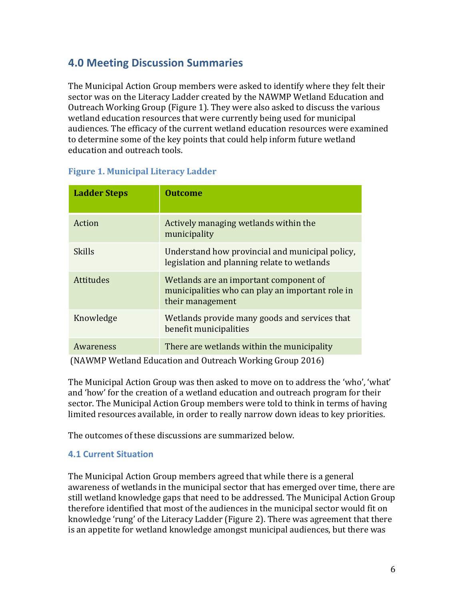## **4.0 Meeting Discussion Summaries**

The Municipal Action Group members were asked to identify where they felt their sector was on the Literacy Ladder created by the NAWMP Wetland Education and Outreach Working Group (Figure 1). They were also asked to discuss the various wetland education resources that were currently being used for municipal audiences. The efficacy of the current wetland education resources were examined to determine some of the key points that could help inform future wetland education and outreach tools.

| <b>Ladder Steps</b> | <b>Outcome</b>                                                                                                 |
|---------------------|----------------------------------------------------------------------------------------------------------------|
| Action              | Actively managing wetlands within the<br>municipality                                                          |
| Skills              | Understand how provincial and municipal policy,<br>legislation and planning relate to wetlands                 |
| <b>Attitudes</b>    | Wetlands are an important component of<br>municipalities who can play an important role in<br>their management |
| Knowledge           | Wetlands provide many goods and services that<br>benefit municipalities                                        |
| Awareness           | There are wetlands within the municipality                                                                     |

#### **Figure 1. Municipal Literacy Ladder**

(NAWMP Wetland Education and Outreach Working Group 2016)

The Municipal Action Group was then asked to move on to address the 'who', 'what' and 'how' for the creation of a wetland education and outreach program for their sector. The Municipal Action Group members were told to think in terms of having limited resources available, in order to really narrow down ideas to key priorities.

The outcomes of these discussions are summarized below.

#### **4.1 Current Situation**

The Municipal Action Group members agreed that while there is a general awareness of wetlands in the municipal sector that has emerged over time, there are still wetland knowledge gaps that need to be addressed. The Municipal Action Group therefore identified that most of the audiences in the municipal sector would fit on knowledge 'rung' of the Literacy Ladder (Figure 2). There was agreement that there is an appetite for wetland knowledge amongst municipal audiences, but there was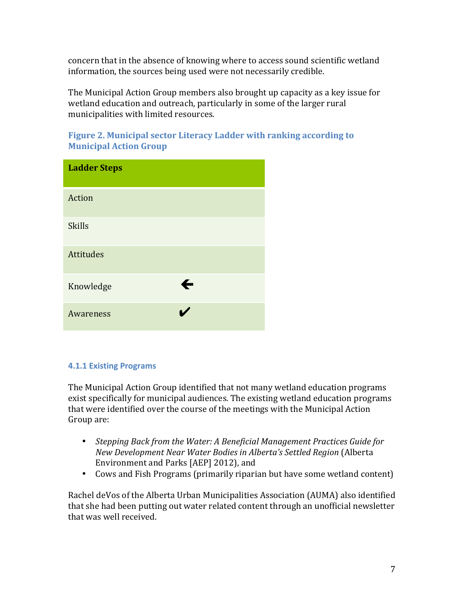concern that in the absence of knowing where to access sound scientific wetland information, the sources being used were not necessarily credible.

The Municipal Action Group members also brought up capacity as a key issue for wetland education and outreach, particularly in some of the larger rural municipalities with limited resources.

| <b>Ladder Steps</b> |              |
|---------------------|--------------|
| Action              |              |
| <b>Skills</b>       |              |
| Attitudes           |              |
| Knowledge           | $\leftarrow$ |
| Awareness           |              |

#### **Figure 2. Municipal sector Literacy Ladder with ranking according to Municipal Action Group**

#### **4.1.1 Existing Programs**

The Municipal Action Group identified that not many wetland education programs exist specifically for municipal audiences. The existing wetland education programs that were identified over the course of the meetings with the Municipal Action Group are:

- Stepping Back from the Water: A Beneficial Management Practices Guide for *New Development Near Water Bodies in Alberta's Settled Region* (Alberta Environment and Parks [AEP] 2012), and
- Cows and Fish Programs (primarily riparian but have some wetland content)

Rachel deVos of the Alberta Urban Municipalities Association (AUMA) also identified that she had been putting out water related content through an unofficial newsletter that was well received.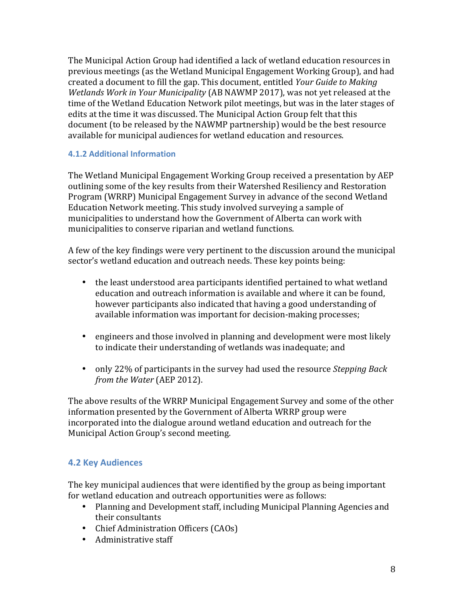The Municipal Action Group had identified a lack of wetland education resources in previous meetings (as the Wetland Municipal Engagement Working Group), and had created a document to fill the gap. This document, entitled *Your Guide to Making Wetlands Work in Your Municipality* (AB NAWMP 2017), was not yet released at the time of the Wetland Education Network pilot meetings, but was in the later stages of edits at the time it was discussed. The Municipal Action Group felt that this document (to be released by the NAWMP partnership) would be the best resource available for municipal audiences for wetland education and resources.

#### **4.1.2 Additional Information**

The Wetland Municipal Engagement Working Group received a presentation by AEP outlining some of the key results from their Watershed Resiliency and Restoration Program (WRRP) Municipal Engagement Survey in advance of the second Wetland Education Network meeting. This study involved surveying a sample of municipalities to understand how the Government of Alberta can work with municipalities to conserve riparian and wetland functions.

A few of the key findings were very pertinent to the discussion around the municipal sector's wetland education and outreach needs. These key points being:

- the least understood area participants identified pertained to what wetland education and outreach information is available and where it can be found, however participants also indicated that having a good understanding of available information was important for decision-making processes;
- engineers and those involved in planning and development were most likely to indicate their understanding of wetlands was inadequate; and
- only 22% of participants in the survey had used the resource *Stepping Back from the Water* (AEP 2012).

The above results of the WRRP Municipal Engagement Survey and some of the other information presented by the Government of Alberta WRRP group were incorporated into the dialogue around wetland education and outreach for the Municipal Action Group's second meeting.

#### **4.2 Key Audiences**

The key municipal audiences that were identified by the group as being important for wetland education and outreach opportunities were as follows:

- Planning and Development staff, including Municipal Planning Agencies and their consultants
- Chief Administration Officers (CAOs)
- Administrative staff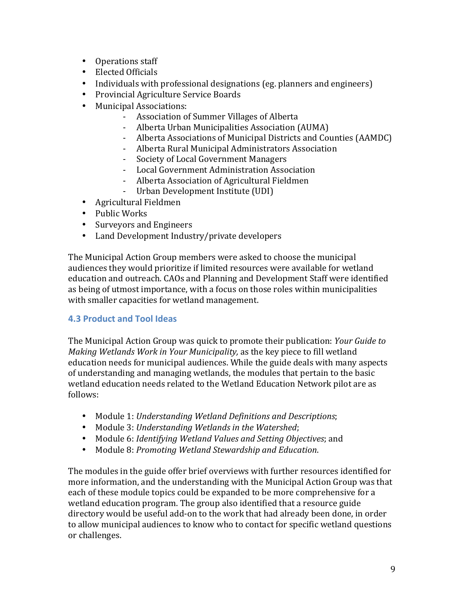- Operations staff
- Elected Officials
- Individuals with professional designations (eg. planners and engineers)
- Provincial Agriculture Service Boards
- Municipal Associations:
	- Association of Summer Villages of Alberta
	- Alberta Urban Municipalities Association (AUMA)
	- Alberta Associations of Municipal Districts and Counties (AAMDC)
	- Alberta Rural Municipal Administrators Association
	- Society of Local Government Managers
	- Local Government Administration Association
	- Alberta Association of Agricultural Fieldmen
	- Urban Development Institute (UDI)
- Agricultural Fieldmen
- Public Works
- Surveyors and Engineers
- Land Development Industry/private developers

The Municipal Action Group members were asked to choose the municipal audiences they would prioritize if limited resources were available for wetland education and outreach. CAOs and Planning and Development Staff were identified as being of utmost importance, with a focus on those roles within municipalities with smaller capacities for wetland management.

#### **4.3 Product and Tool Ideas**

The Municipal Action Group was quick to promote their publication: *Your Guide to Making Wetlands Work in Your Municipality*, as the key piece to fill wetland education needs for municipal audiences. While the guide deals with many aspects of understanding and managing wetlands, the modules that pertain to the basic wetland education needs related to the Wetland Education Network pilot are as follows:

- Module 1: *Understanding Wetland Definitions and Descriptions*;
- Module 3: *Understanding Wetlands in the Watershed*;
- Module 6: *Identifying Wetland Values and Setting Objectives*; and
- Module 8: *Promoting Wetland Stewardship and Education*.

The modules in the guide offer brief overviews with further resources identified for more information, and the understanding with the Municipal Action Group was that each of these module topics could be expanded to be more comprehensive for a wetland education program. The group also identified that a resource guide directory would be useful add-on to the work that had already been done, in order to allow municipal audiences to know who to contact for specific wetland questions or challenges.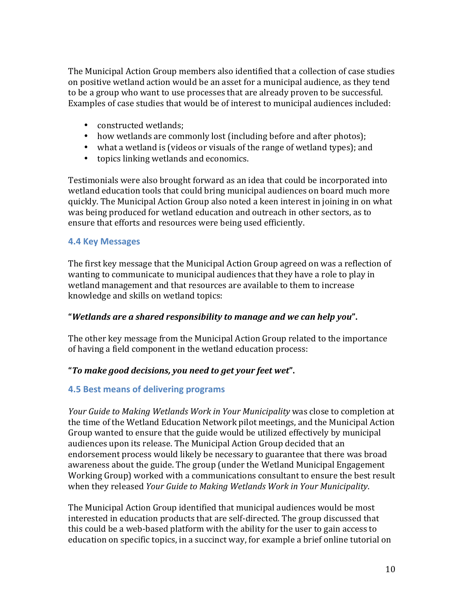The Municipal Action Group members also identified that a collection of case studies on positive wetland action would be an asset for a municipal audience, as they tend to be a group who want to use processes that are already proven to be successful. Examples of case studies that would be of interest to municipal audiences included:

- constructed wetlands;
- how wetlands are commonly lost (including before and after photos);
- what a wetland is (videos or visuals of the range of wetland types); and
- topics linking wetlands and economics.

Testimonials were also brought forward as an idea that could be incorporated into wetland education tools that could bring municipal audiences on board much more quickly. The Municipal Action Group also noted a keen interest in joining in on what was being produced for wetland education and outreach in other sectors, as to ensure that efforts and resources were being used efficiently.

#### **4.4 Key Messages**

The first key message that the Municipal Action Group agreed on was a reflection of wanting to communicate to municipal audiences that they have a role to play in wetland management and that resources are available to them to increase knowledge and skills on wetland topics:

#### **"***Wetlands are a shared responsibility to manage and we can help you***".**

The other key message from the Municipal Action Group related to the importance of having a field component in the wetland education process:

#### **"***To make good decisions, you need to get your feet wet***".**

#### **4.5 Best means of delivering programs**

*Your Guide to Making Wetlands Work in Your Municipality* was close to completion at the time of the Wetland Education Network pilot meetings, and the Municipal Action Group wanted to ensure that the guide would be utilized effectively by municipal audiences upon its release. The Municipal Action Group decided that an endorsement process would likely be necessary to guarantee that there was broad awareness about the guide. The group (under the Wetland Municipal Engagement Working Group) worked with a communications consultant to ensure the best result when they released *Your Guide to Making Wetlands Work in Your Municipality*.

The Municipal Action Group identified that municipal audiences would be most interested in education products that are self-directed. The group discussed that this could be a web-based platform with the ability for the user to gain access to education on specific topics, in a succinct way, for example a brief online tutorial on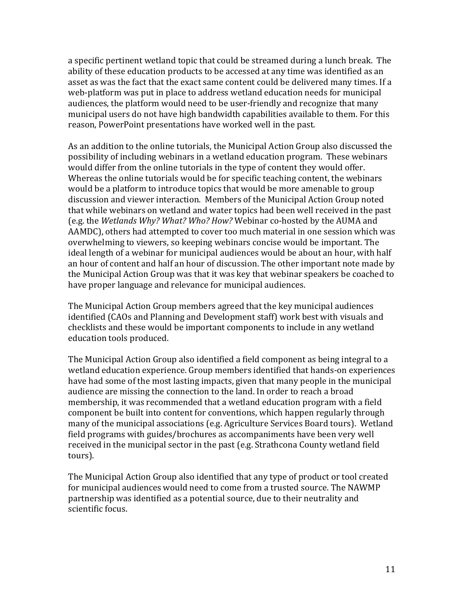a specific pertinent wetland topic that could be streamed during a lunch break. The ability of these education products to be accessed at any time was identified as an asset as was the fact that the exact same content could be delivered many times. If a web-platform was put in place to address wetland education needs for municipal audiences, the platform would need to be user-friendly and recognize that many municipal users do not have high bandwidth capabilities available to them. For this reason, PowerPoint presentations have worked well in the past.

As an addition to the online tutorials, the Municipal Action Group also discussed the possibility of including webinars in a wetland education program. These webinars would differ from the online tutorials in the type of content they would offer. Whereas the online tutorials would be for specific teaching content, the webinars would be a platform to introduce topics that would be more amenable to group discussion and viewer interaction. Members of the Municipal Action Group noted that while webinars on wetland and water topics had been well received in the past (e.g. the Wetlands Why? What? Who? How? Webinar co-hosted by the AUMA and AAMDC), others had attempted to cover too much material in one session which was overwhelming to viewers, so keeping webinars concise would be important. The ideal length of a webinar for municipal audiences would be about an hour, with half an hour of content and half an hour of discussion. The other important note made by the Municipal Action Group was that it was key that webinar speakers be coached to have proper language and relevance for municipal audiences.

The Municipal Action Group members agreed that the key municipal audiences identified (CAOs and Planning and Development staff) work best with visuals and checklists and these would be important components to include in any wetland education tools produced.

The Municipal Action Group also identified a field component as being integral to a wetland education experience. Group members identified that hands-on experiences have had some of the most lasting impacts, given that many people in the municipal audience are missing the connection to the land. In order to reach a broad membership, it was recommended that a wetland education program with a field component be built into content for conventions, which happen regularly through many of the municipal associations (e.g. Agriculture Services Board tours). Wetland field programs with guides/brochures as accompaniments have been very well received in the municipal sector in the past (e.g. Strathcona County wetland field tours).

The Municipal Action Group also identified that any type of product or tool created for municipal audiences would need to come from a trusted source. The NAWMP partnership was identified as a potential source, due to their neutrality and scientific focus.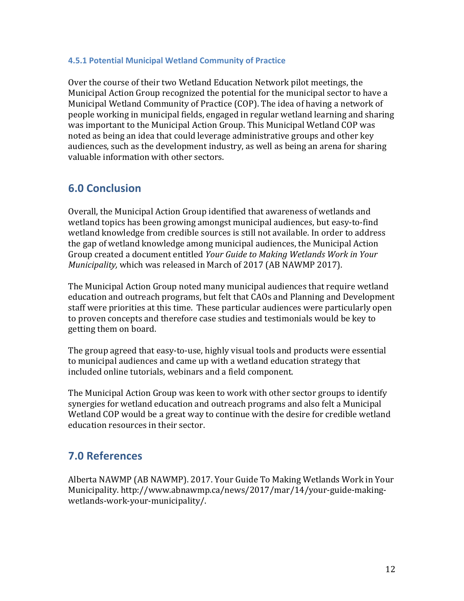#### **4.5.1 Potential Municipal Wetland Community of Practice**

Over the course of their two Wetland Education Network pilot meetings, the Municipal Action Group recognized the potential for the municipal sector to have a Municipal Wetland Community of Practice (COP). The idea of having a network of people working in municipal fields, engaged in regular wetland learning and sharing was important to the Municipal Action Group. This Municipal Wetland COP was noted as being an idea that could leverage administrative groups and other key audiences, such as the development industry, as well as being an arena for sharing valuable information with other sectors.

### **6.0 Conclusion**

Overall, the Municipal Action Group identified that awareness of wetlands and wetland topics has been growing amongst municipal audiences, but easy-to-find wetland knowledge from credible sources is still not available. In order to address the gap of wetland knowledge among municipal audiences, the Municipal Action Group created a document entitled *Your Guide to Making Wetlands Work in Your Municipality,* which was released in March of 2017 (AB NAWMP 2017).

The Municipal Action Group noted many municipal audiences that require wetland education and outreach programs, but felt that CAOs and Planning and Development staff were priorities at this time. These particular audiences were particularly open to proven concepts and therefore case studies and testimonials would be key to getting them on board.

The group agreed that easy-to-use, highly visual tools and products were essential to municipal audiences and came up with a wetland education strategy that included online tutorials, webinars and a field component.

The Municipal Action Group was keen to work with other sector groups to identify synergies for wetland education and outreach programs and also felt a Municipal Wetland COP would be a great way to continue with the desire for credible wetland education resources in their sector.

### **7.0 References**

Alberta NAWMP (AB NAWMP). 2017. Your Guide To Making Wetlands Work in Your Municipality. http://www.abnawmp.ca/news/2017/mar/14/your-guide-makingwetlands-work-your-municipality/.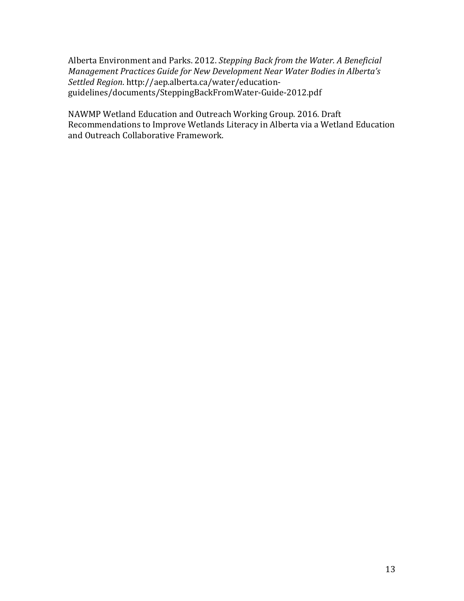Alberta Environment and Parks. 2012. *Stepping Back from the Water. A Beneficial Management Practices Guide for New Development Near Water Bodies in Alberta's Settled Region*. http://aep.alberta.ca/water/educationguidelines/documents/SteppingBackFromWater-Guide-2012.pdf

NAWMP Wetland Education and Outreach Working Group. 2016. Draft Recommendations to Improve Wetlands Literacy in Alberta via a Wetland Education and Outreach Collaborative Framework.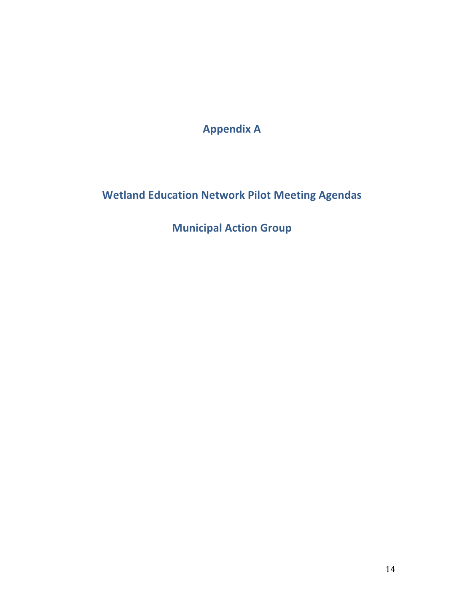**Appendix A**

**Wetland Education Network Pilot Meeting Agendas** 

**Municipal Action Group**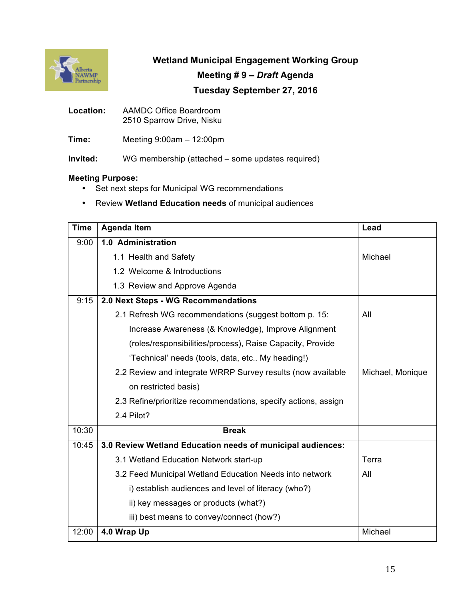

**Wetland Municipal Engagement Working Group**

#### **Meeting # 9 –** *Draft* **Agenda**

#### **Tuesday September 27, 2016**

- **Location:** AAMDC Office Boardroom 2510 Sparrow Drive, Nisku
- **Time:** Meeting 9:00am 12:00pm

**Invited:** WG membership (attached – some updates required)

#### **Meeting Purpose:**

- Set next steps for Municipal WG recommendations
- Review **Wetland Education needs** of municipal audiences

| <b>Time</b> | <b>Agenda Item</b>                                             | Lead             |
|-------------|----------------------------------------------------------------|------------------|
| 9:00        | 1.0 Administration                                             |                  |
|             | 1.1 Health and Safety                                          | Michael          |
|             | 1.2 Welcome & Introductions                                    |                  |
|             | 1.3 Review and Approve Agenda                                  |                  |
| 9:15        | 2.0 Next Steps - WG Recommendations                            |                  |
|             | 2.1 Refresh WG recommendations (suggest bottom p. 15:          | All              |
|             | Increase Awareness (& Knowledge), Improve Alignment            |                  |
|             | (roles/responsibilities/process), Raise Capacity, Provide      |                  |
|             | 'Technical' needs (tools, data, etc My heading!)               |                  |
|             | 2.2 Review and integrate WRRP Survey results (now available    | Michael, Monique |
|             | on restricted basis)                                           |                  |
|             | 2.3 Refine/prioritize recommendations, specify actions, assign |                  |
|             | 2.4 Pilot?                                                     |                  |
| 10:30       | <b>Break</b>                                                   |                  |
| 10:45       | 3.0 Review Wetland Education needs of municipal audiences:     |                  |
|             | 3.1 Wetland Education Network start-up                         | Terra            |
|             | 3.2 Feed Municipal Wetland Education Needs into network        | All              |
|             | i) establish audiences and level of literacy (who?)            |                  |
|             | ii) key messages or products (what?)                           |                  |
|             | iii) best means to convey/connect (how?)                       |                  |
| 12:00       | 4.0 Wrap Up                                                    | Michael          |